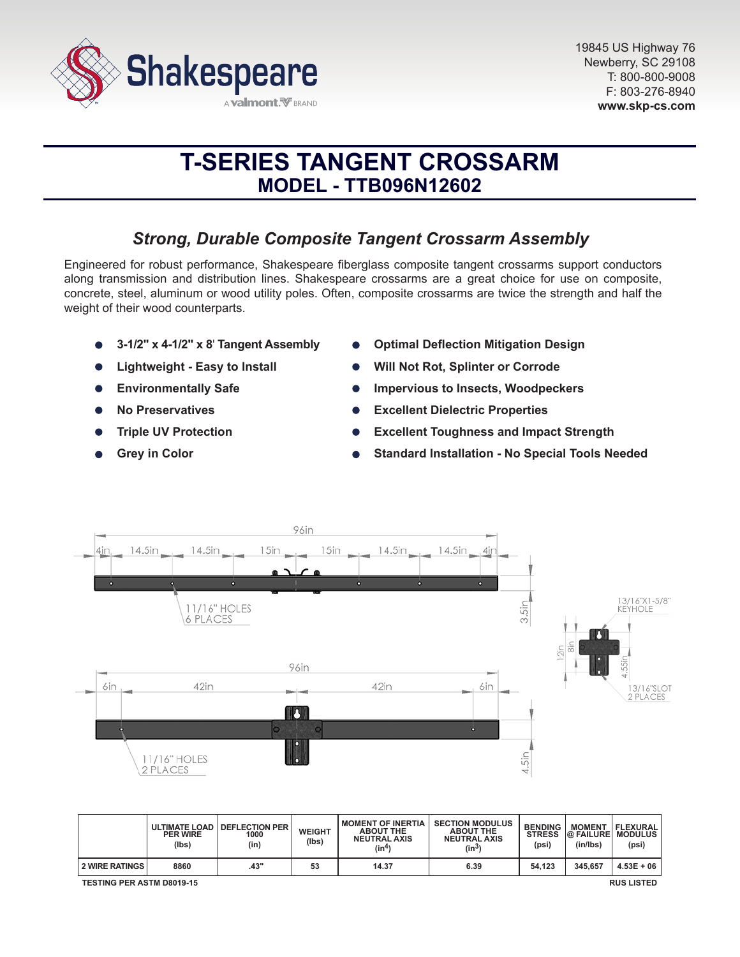

# **T-SERIES TANGENT CROSSARM MODEL - TTB096N12602**

# *Strong, Durable Composite Tangent Crossarm Assembly*

Engineered for robust performance, Shakespeare fiberglass composite tangent crossarms support conductors along transmission and distribution lines. Shakespeare crossarms are a great choice for use on composite, concrete, steel, aluminum or wood utility poles. Often, composite crossarms are twice the strength and half the weight of their wood counterparts.

- **3-1/2" x 4-1/2" x 8**' **Tangent Assembly**
- **Lightweight Easy to Install**
- **Environmentally Safe**  $\bullet$
- **No Preservatives**
- **Triple UV Protection**
- **Grey in Color**
- **Optimal Deflection Mitigation Design**
- **Will Not Rot, Splinter or Corrode**
- **Impervious to Insects, Woodpeckers**
- **Excellent Dielectric Properties**  $\bullet$
- **Excellent Toughness and Impact Strength**
- **Standard Installation No Special Tools Needed**



|                                                       | <b>PER WIRE</b><br>(lbs) | ULTIMATE LOAD DEFLECTION PER<br>1000<br>(in) | <b>WEIGHT</b><br>(Ibs) | <b>MOMENT OF INERTIA</b><br><b>ABOUT THE</b><br><b>NEUTRAL AXIS</b><br>(in <sup>4</sup> ) | <b>SECTION MODULUS</b><br><b>ABOUT THE</b><br><b>NEUTRAL AXIS</b><br>(in <sup>3</sup> ) | <b>BENDING</b><br><b>STRESS</b><br>(psi) | <b>MOMENT</b><br>(in/lbs) | <b>FLEXURAL</b><br><b>@ FAILURE MODULUS</b><br>(psi) |
|-------------------------------------------------------|--------------------------|----------------------------------------------|------------------------|-------------------------------------------------------------------------------------------|-----------------------------------------------------------------------------------------|------------------------------------------|---------------------------|------------------------------------------------------|
| <b>2 WIRE RATINGS</b>                                 | 8860                     | .43"                                         | 53                     | 14.37                                                                                     | 6.39                                                                                    | 54.123                                   | 345.657                   | $4.53E + 06$                                         |
| <b>TESTING PER ASTM D8019-15</b><br><b>RUS LISTED</b> |                          |                                              |                        |                                                                                           |                                                                                         |                                          |                           |                                                      |